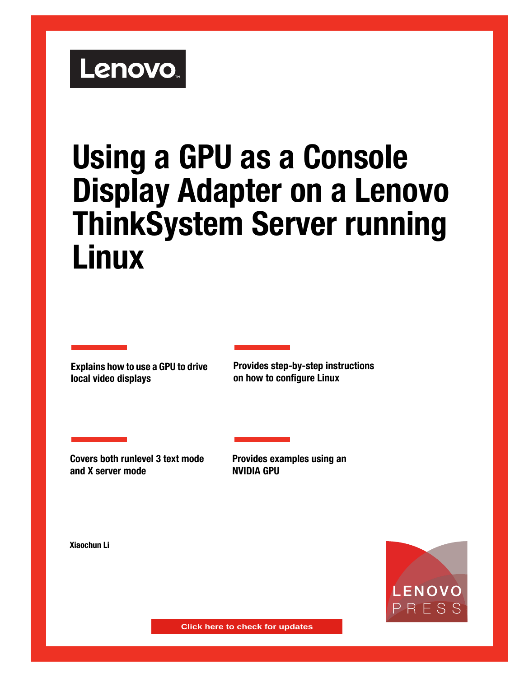# Lenovo.

# **Using a GPU as a Console Display Adapter on a Lenovo ThinkSystem Server running Linux**

**Explains how to use a GPU to drive local video displays**

**Provides step-by-step instructions on how to configure Linux**

**Covers both runlevel 3 text mode and X server mode**

**Provides examples using an NVIDIA GPU**

**Xiaochun Li**



**Click here to check for updates**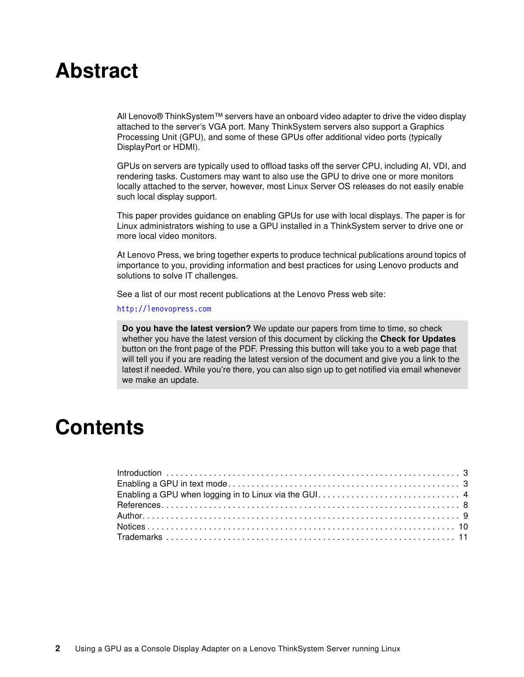## **Abstract**

All Lenovo® ThinkSystem™ servers have an onboard video adapter to drive the video display attached to the server's VGA port. Many ThinkSystem servers also support a Graphics Processing Unit (GPU), and some of these GPUs offer additional video ports (typically DisplayPort or HDMI).

GPUs on servers are typically used to offload tasks off the server CPU, including AI, VDI, and rendering tasks. Customers may want to also use the GPU to drive one or more monitors locally attached to the server, however, most Linux Server OS releases do not easily enable such local display support.

This paper provides guidance on enabling GPUs for use with local displays. The paper is for Linux administrators wishing to use a GPU installed in a ThinkSystem server to drive one or more local video monitors.

At Lenovo Press, we bring together experts to produce technical publications around topics of importance to you, providing information and best practices for using Lenovo products and solutions to solve IT challenges.

See a list of our most recent publications at the Lenovo Press web site:

#### <http://lenovopress.com>

**Do you have the latest version?** We update our papers from time to time, so check whether you have the latest version of this document by clicking the **Check for Updates** button on the front page of the PDF. Pressing this button will take you to a web page that will tell you if you are reading the latest version of the document and give you a link to the latest if needed. While you're there, you can also sign up to get notified via email whenever we make an update.

## **Contents**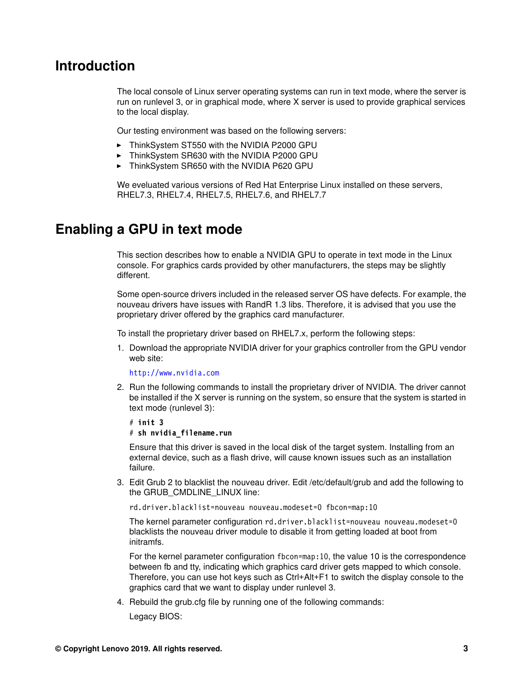## <span id="page-2-0"></span>**Introduction**

The local console of Linux server operating systems can run in text mode, where the server is run on runlevel 3, or in graphical mode, where X server is used to provide graphical services to the local display.

Our testing environment was based on the following servers:

- -ThinkSystem ST550 with the NVIDIA P2000 GPU
- -ThinkSystem SR630 with the NVIDIA P2000 GPU
- -ThinkSystem SR650 with the NVIDIA P620 GPU

We eveluated various versions of Red Hat Enterprise Linux installed on these servers, RHEL7.3, RHEL7.4, RHEL7.5, RHEL7.6, and RHEL7.7

## <span id="page-2-1"></span>**Enabling a GPU in text mode**

This section describes how to enable a NVIDIA GPU to operate in text mode in the Linux console. For graphics cards provided by other manufacturers, the steps may be slightly different.

Some open-source drivers included in the released server OS have defects. For example, the nouveau drivers have issues with RandR 1.3 libs. Therefore, it is advised that you use the proprietary driver offered by the graphics card manufacturer.

To install the proprietary driver based on RHEL7.x, perform the following steps:

1. Download the appropriate NVIDIA driver for your graphics controller from the GPU vendor web site:

<http://www.nvidia.com>

2. Run the following commands to install the proprietary driver of NVIDIA. The driver cannot be installed if the X server is running on the system, so ensure that the system is started in text mode (runlevel 3):

```
# init 3
```
# **sh nvidia\_filename.run**

Ensure that this driver is saved in the local disk of the target system. Installing from an external device, such as a flash drive, will cause known issues such as an installation failure.

3. Edit Grub 2 to blacklist the nouveau driver. Edit /etc/default/grub and add the following to the GRUB\_CMDLINE\_LINUX line:

rd.driver.blacklist=nouveau nouveau.modeset=0 fbcon=map:10

The kernel parameter configuration rd.driver.blacklist=nouveau nouveau.modeset=0 blacklists the nouveau driver module to disable it from getting loaded at boot from initramfs.

For the kernel parameter configuration fbcon=map:10, the value 10 is the correspondence between fb and tty, indicating which graphics card driver gets mapped to which console. Therefore, you can use hot keys such as Ctrl+Alt+F1 to switch the display console to the graphics card that we want to display under runlevel 3.

4. Rebuild the grub.cfg file by running one of the following commands:

Legacy BIOS: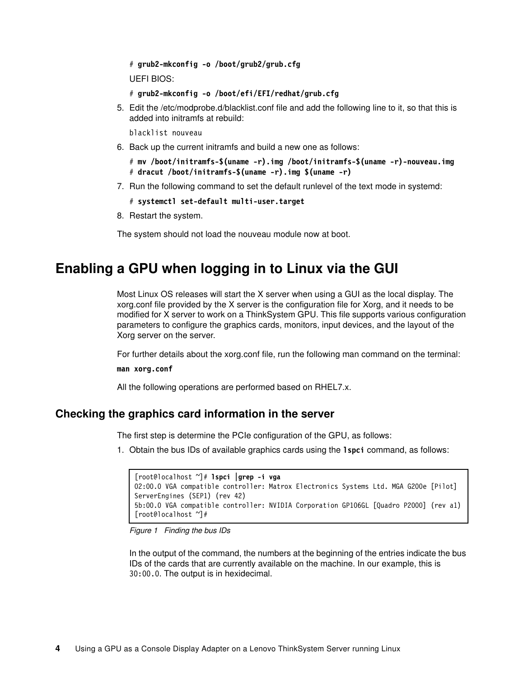```
# grub2-mkconfig -o /boot/grub2/grub.cfg
UEFI BIOS:
```

```
# grub2-mkconfig -o /boot/efi/EFI/redhat/grub.cfg
```
5. Edit the /etc/modprobe.d/blacklist.conf file and add the following line to it, so that this is added into initramfs at rebuild:

blacklist nouveau

6. Back up the current initramfs and build a new one as follows:

```
# mv /boot/initramfs-$(uname -r).img /boot/initramfs-$(uname -r)-nouveau.img
# dracut /boot/initramfs-$(uname -r).img $(uname -r)
```
7. Run the following command to set the default runlevel of the text mode in systemd:

```
# systemctl set-default multi-user.target
```
8. Restart the system.

The system should not load the nouveau module now at boot.

## <span id="page-3-0"></span>**Enabling a GPU when logging in to Linux via the GUI**

Most Linux OS releases will start the X server when using a GUI as the local display. The xorg.conf file provided by the X server is the configuration file for Xorg, and it needs to be modified for X server to work on a ThinkSystem GPU. This file supports various configuration parameters to configure the graphics cards, monitors, input devices, and the layout of the Xorg server on the server.

For further details about the xorg.conf file, run the following man command on the terminal:

#### **man xorg.conf**

All the following operations are performed based on RHEL7.x.

#### **Checking the graphics card information in the server**

The first step is determine the PCIe configuration of the GPU, as follows:

1. Obtain the bus IDs of available graphics cards using the **lspci** command, as follows:

```
[root@localhost ~]# lspci |grep -i vga
02:00.0 VGA compatible controller: Matrox Electronics Systems Ltd. MGA G200e [Pilot] 
ServerEngines (SEP1) (rev 42)
5b:00.0 VGA compatible controller: NVIDIA Corporation GP106GL [Quadro P2000] (rev a1)
[root@localhost ~]#
```
<span id="page-3-1"></span>*Figure 1 Finding the bus IDs*

In the output of the command, the numbers at the beginning of the entries indicate the bus IDs of the cards that are currently available on the machine. In our example, this is 30:00.0. The output is in hexidecimal.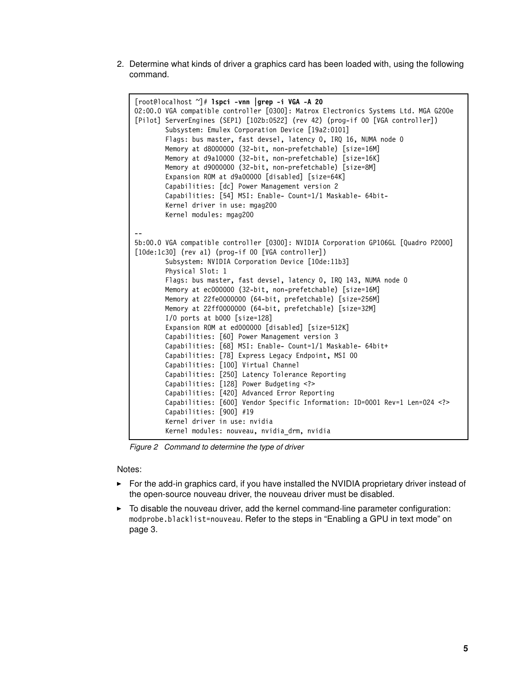2. Determine what kinds of driver a graphics card has been loaded with, using the following command.

```
[root@localhost ~]# lspci -vnn |grep -i VGA -A 20 
02:00.0 VGA compatible controller [0300]: Matrox Electronics Systems Ltd. MGA G200e 
[Pilot] ServerEngines (SEP1) [102b:0522] (rev 42) (prog-if 00 [VGA controller])
         Subsystem: Emulex Corporation Device [19a2:0101]
         Flags: bus master, fast devsel, latency 0, IRQ 16, NUMA node 0
         Memory at d8000000 (32-bit, non-prefetchable) [size=16M]
         Memory at d9a10000 (32-bit, non-prefetchable) [size=16K]
        Memory at d9000000 (32-bit, non-prefetchable) [size=8M]
         Expansion ROM at d9a00000 [disabled] [size=64K]
         Capabilities: [dc] Power Management version 2
         Capabilities: [54] MSI: Enable- Count=1/1 Maskable- 64bit-
         Kernel driver in use: mgag200
         Kernel modules: mgag200
--
5b:00.0 VGA compatible controller [0300]: NVIDIA Corporation GP106GL [Quadro P2000] 
[10de:1c30] (rev a1) (prog-if 00 [VGA controller])
        Subsystem: NVIDIA Corporation Device [10de:11b3]
         Physical Slot: 1
         Flags: bus master, fast devsel, latency 0, IRQ 143, NUMA node 0
         Memory at ec000000 (32-bit, non-prefetchable) [size=16M]
         Memory at 22fe0000000 (64-bit, prefetchable) [size=256M]
         Memory at 22ff0000000 (64-bit, prefetchable) [size=32M]
         I/O ports at b000 [size=128]
        Expansion ROM at ed000000 [disabled] [size=512K]
         Capabilities: [60] Power Management version 3
         Capabilities: [68] MSI: Enable- Count=1/1 Maskable- 64bit+
         Capabilities: [78] Express Legacy Endpoint, MSI 00
         Capabilities: [100] Virtual Channel
         Capabilities: [250] Latency Tolerance Reporting
         Capabilities: [128] Power Budgeting <?>
         Capabilities: [420] Advanced Error Reporting
         Capabilities: [600] Vendor Specific Information: ID=0001 Rev=1 Len=024 <?>
         Capabilities: [900] #19
         Kernel driver in use: nvidia
        Kernel modules: nouveau, nvidia drm, nvidia
```
<span id="page-4-0"></span>*Figure 2 Command to determine the type of driver*

Notes:

- ► For the add-in graphics card, if you have installed the NVIDIA proprietary driver instead of the open-source nouveau driver, the nouveau driver must be disabled.
- To disable the nouveau driver, add the kernel command-line parameter configuration: modprobe.blacklist=nouveau. Refer to the steps in ["Enabling a GPU in text mode" on](#page-2-1)  [page 3.](#page-2-1)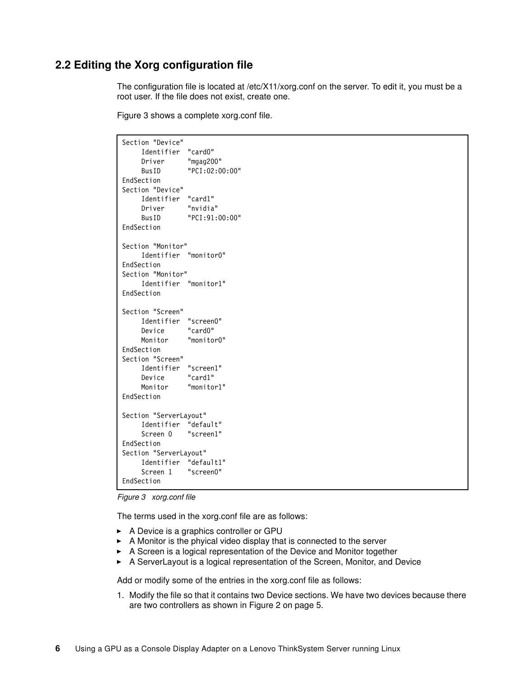### **2.2 Editing the Xorg configuration file**

The configuration file is located at /etc/X11/xorg.conf on the server. To edit it, you must be a root user. If the file does not exist, create one.

[Figure 3](#page-5-0) shows a complete xorg.conf file.

```
Section "Device"
    Identifier "card0"
 Driver "mgag200"
 BusID "PCI:02:00:00"
EndSection
Section "Device"
    Identifier "card1"
 Driver "nvidia"
 BusID "PCI:91:00:00"
EndSection
Section "Monitor"
    Identifier "monitor0"
EndSection
Section "Monitor"
     Identifier "monitor1"
EndSection
Section "Screen"
    Identifier "screen0"
     Device "card0"
     Monitor "monitor0"
EndSection
Section "Screen"
    Identifier "screen1"
     Device "card1"
     Monitor "monitor1"
EndSection
Section "ServerLayout"
    Identifier "default"
     Screen 0 "screen1"
EndSection
Section "ServerLayout"
    Identifier "default1"
     Screen 1 "screen0"
EndSection
```
<span id="page-5-0"></span>*Figure 3 xorg.conf file*

The terms used in the xorg.conf file are as follows:

- ► A Device is a graphics controller or GPU
- ► A Monitor is the phyical video display that is connected to the server
- ► A Screen is a logical representation of the Device and Monitor together
- ► A ServerLayout is a logical representation of the Screen, Monitor, and Device

Add or modify some of the entries in the xorg.conf file as follows:

1. Modify the file so that it contains two Device sections. We have two devices because there are two controllers as shown in [Figure 2 on page 5](#page-4-0).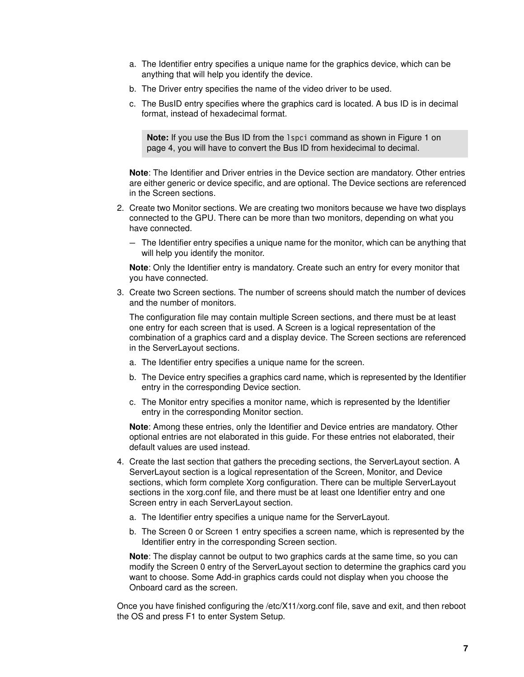- a. The Identifier entry specifies a unique name for the graphics device, which can be anything that will help you identify the device.
- b. The Driver entry specifies the name of the video driver to be used.
- c. The BusID entry specifies where the graphics card is located. A bus ID is in decimal format, instead of hexadecimal format.

**Note:** If you use the Bus ID from the lspci command as shown in [Figure 1 on](#page-3-1)  [page 4](#page-3-1), you will have to convert the Bus ID from hexidecimal to decimal.

**Note**: The Identifier and Driver entries in the Device section are mandatory. Other entries are either generic or device specific, and are optional. The Device sections are referenced in the Screen sections.

- 2. Create two Monitor sections. We are creating two monitors because we have two displays connected to the GPU. There can be more than two monitors, depending on what you have connected.
	- The Identifier entry specifies a unique name for the monitor, which can be anything that will help you identify the monitor.

**Note**: Only the Identifier entry is mandatory. Create such an entry for every monitor that you have connected.

3. Create two Screen sections. The number of screens should match the number of devices and the number of monitors.

The configuration file may contain multiple Screen sections, and there must be at least one entry for each screen that is used. A Screen is a logical representation of the combination of a graphics card and a display device. The Screen sections are referenced in the ServerLayout sections.

- a. The Identifier entry specifies a unique name for the screen.
- b. The Device entry specifies a graphics card name, which is represented by the Identifier entry in the corresponding Device section.
- c. The Monitor entry specifies a monitor name, which is represented by the Identifier entry in the corresponding Monitor section.

**Note**: Among these entries, only the Identifier and Device entries are mandatory. Other optional entries are not elaborated in this guide. For these entries not elaborated, their default values are used instead.

- 4. Create the last section that gathers the preceding sections, the ServerLayout section. A ServerLayout section is a logical representation of the Screen, Monitor, and Device sections, which form complete Xorg configuration. There can be multiple ServerLayout sections in the xorg.conf file, and there must be at least one Identifier entry and one Screen entry in each ServerLayout section.
	- a. The Identifier entry specifies a unique name for the ServerLayout.
	- b. The Screen 0 or Screen 1 entry specifies a screen name, which is represented by the Identifier entry in the corresponding Screen section.

**Note**: The display cannot be output to two graphics cards at the same time, so you can modify the Screen 0 entry of the ServerLayout section to determine the graphics card you want to choose. Some Add-in graphics cards could not display when you choose the Onboard card as the screen.

Once you have finished configuring the /etc/X11/xorg.conf file, save and exit, and then reboot the OS and press F1 to enter System Setup.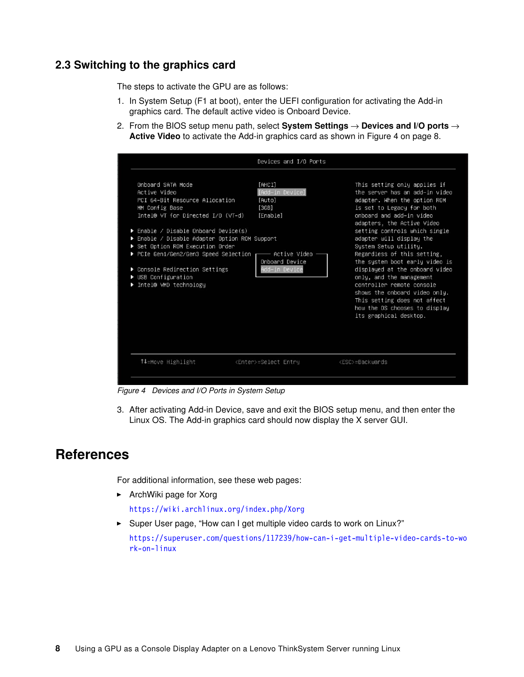### **2.3 Switching to the graphics card**

The steps to activate the GPU are as follows:

- 1. In System Setup (F1 at boot), enter the UEFI configuration for activating the Add-in graphics card. The default active video is Onboard Device.
- 2. From the BIOS setup menu path, select **System Settings** → **Devices and I/O ports** → **Active Video** to activate the Add-in graphics card as shown in [Figure 4 on page 8.](#page-7-1)

|                                                                                                                                                                                                                                                                                                                                                                                                            | Devices and I/O Ports                                                                                            |                                                                                                                                                                                                                                                                                                                                                                                                                                                                                                                                                                     |
|------------------------------------------------------------------------------------------------------------------------------------------------------------------------------------------------------------------------------------------------------------------------------------------------------------------------------------------------------------------------------------------------------------|------------------------------------------------------------------------------------------------------------------|---------------------------------------------------------------------------------------------------------------------------------------------------------------------------------------------------------------------------------------------------------------------------------------------------------------------------------------------------------------------------------------------------------------------------------------------------------------------------------------------------------------------------------------------------------------------|
| Onboard SATA Mode<br>Active Video<br>PCI 64-Bit Resource Allocation<br>MM Config Base<br>Intel® VT for Directed I/O (VT-d)<br>▶ Enable / Disable Onboard Device(s)<br>▶ Enable / Disable Adapter Option ROM Support<br>▶ Set Option ROM Execution Order<br>▶ PCIe Gen1/Gen2/Gen3 Speed Selection r<br>▶ Console Redirection Settings<br>$\blacktriangleright$ USB Configuration<br>▶ Intel® VMD technology | [AHCI]<br>[Add-in Device]<br>[Auto]<br>[3GB]<br>[Enable]<br>—— Active Video -<br>Onboard Device<br>Add–in Device | This setting only applies if<br>the server has an add-in video<br>adapter. When the option ROM<br>is set to Legacy for both<br>ophoard and add-in video<br>adapters, the Active Video<br>setting controls which single<br>adapter will display the<br>System Setup utility.<br>Regardless of this setting,<br>the system boot early video is<br>displayed at the onboard video<br>only, and the management<br>controller remote console<br>shows the onboard video only.<br>This setting does not affect<br>how the OS chooses to display<br>its graphical desktop. |
| T↓=Move Highlight                                                                                                                                                                                                                                                                                                                                                                                          | <enter>=Select Entry</enter>                                                                                     | <esc>=Backwards</esc>                                                                                                                                                                                                                                                                                                                                                                                                                                                                                                                                               |
|                                                                                                                                                                                                                                                                                                                                                                                                            |                                                                                                                  |                                                                                                                                                                                                                                                                                                                                                                                                                                                                                                                                                                     |

<span id="page-7-1"></span>*Figure 4 Devices and I/O Ports in System Setup*

3. After activating Add-in Device, save and exit the BIOS setup menu, and then enter the Linux OS. The Add-in graphics card should now display the X server GUI.

## <span id="page-7-0"></span>**References**

For additional information, see these web pages:

**ArchWiki page for Xorg** 

<https://wiki.archlinux.org/index.php/Xorg>

► Super User page, "How can I get multiple video cards to work on Linux?"

[https://superuser.com/questions/117239/how-can-i-get-multiple-video-cards-to-wo](https://superuser.com/questions/117239/how-can-i-get-multiple-video-cards-to-work-on-linux) [rk-on-linux](https://superuser.com/questions/117239/how-can-i-get-multiple-video-cards-to-work-on-linux)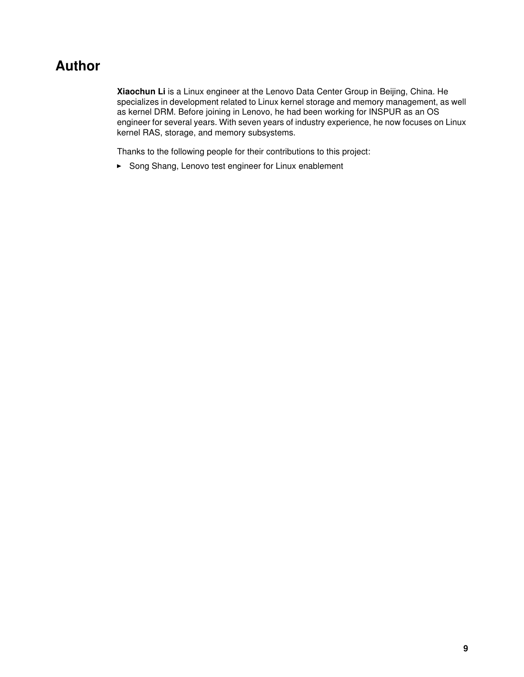## <span id="page-8-0"></span>**Author**

**Xiaochun Li** is a Linux engineer at the Lenovo Data Center Group in Beijing, China. He specializes in development related to Linux kernel storage and memory management, as well as kernel DRM. Before joining in Lenovo, he had been working for INSPUR as an OS engineer for several years. With seven years of industry experience, he now focuses on Linux kernel RAS, storage, and memory subsystems.

Thanks to the following people for their contributions to this project:

- Song Shang, Lenovo test engineer for Linux enablement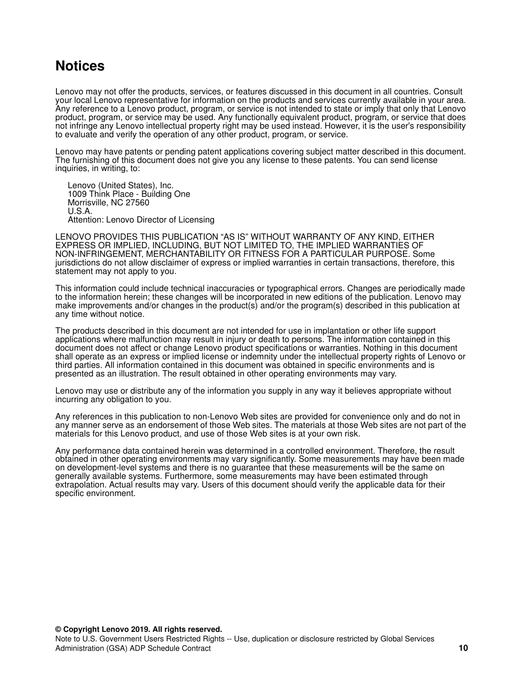## <span id="page-9-0"></span>**Notices**

Lenovo may not offer the products, services, or features discussed in this document in all countries. Consult your local Lenovo representative for information on the products and services currently available in your area. Any reference to a Lenovo product, program, or service is not intended to state or imply that only that Lenovo product, program, or service may be used. Any functionally equivalent product, program, or service that does not infringe any Lenovo intellectual property right may be used instead. However, it is the user's responsibility to evaluate and verify the operation of any other product, program, or service.

Lenovo may have patents or pending patent applications covering subject matter described in this document. The furnishing of this document does not give you any license to these patents. You can send license inquiries, in writing, to:

Lenovo (United States), Inc. 1009 Think Place - Building One Morrisville, NC 27560 U.S.A. Attention: Lenovo Director of Licensing

LENOVO PROVIDES THIS PUBLICATION "AS IS" WITHOUT WARRANTY OF ANY KIND, EITHER EXPRESS OR IMPLIED, INCLUDING, BUT NOT LIMITED TO, THE IMPLIED WARRANTIES OF NON-INFRINGEMENT, MERCHANTABILITY OR FITNESS FOR A PARTICULAR PURPOSE. Some jurisdictions do not allow disclaimer of express or implied warranties in certain transactions, therefore, this statement may not apply to you.

This information could include technical inaccuracies or typographical errors. Changes are periodically made to the information herein; these changes will be incorporated in new editions of the publication. Lenovo may make improvements and/or changes in the product(s) and/or the program(s) described in this publication at any time without notice.

The products described in this document are not intended for use in implantation or other life support applications where malfunction may result in injury or death to persons. The information contained in this document does not affect or change Lenovo product specifications or warranties. Nothing in this document shall operate as an express or implied license or indemnity under the intellectual property rights of Lenovo or third parties. All information contained in this document was obtained in specific environments and is presented as an illustration. The result obtained in other operating environments may vary.

Lenovo may use or distribute any of the information you supply in any way it believes appropriate without incurring any obligation to you.

Any references in this publication to non-Lenovo Web sites are provided for convenience only and do not in any manner serve as an endorsement of those Web sites. The materials at those Web sites are not part of the materials for this Lenovo product, and use of those Web sites is at your own risk.

Any performance data contained herein was determined in a controlled environment. Therefore, the result obtained in other operating environments may vary significantly. Some measurements may have been made on development-level systems and there is no guarantee that these measurements will be the same on generally available systems. Furthermore, some measurements may have been estimated through extrapolation. Actual results may vary. Users of this document should verify the applicable data for their specific environment.